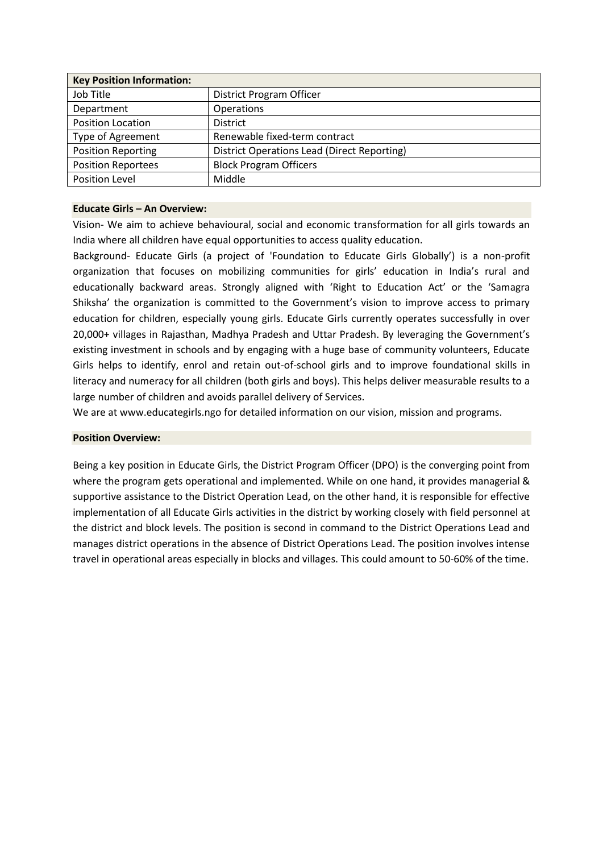| <b>Key Position Information:</b> |                                                    |
|----------------------------------|----------------------------------------------------|
| Job Title                        | District Program Officer                           |
| Department                       | <b>Operations</b>                                  |
| <b>Position Location</b>         | <b>District</b>                                    |
| Type of Agreement                | Renewable fixed-term contract                      |
| <b>Position Reporting</b>        | <b>District Operations Lead (Direct Reporting)</b> |
| <b>Position Reportees</b>        | <b>Block Program Officers</b>                      |
| <b>Position Level</b>            | Middle                                             |

#### **Educate Girls – An Overview:**

Vision- We aim to achieve behavioural, social and economic transformation for all girls towards an India where all children have equal opportunities to access quality education.

Background- Educate Girls (a project of 'Foundation to Educate Girls Globally') is a non-profit organization that focuses on mobilizing communities for girls' education in India's rural and educationally backward areas. Strongly aligned with 'Right to Education Act' or the 'Samagra Shiksha' the organization is committed to the Government's vision to improve access to primary education for children, especially young girls. Educate Girls currently operates successfully in over 20,000+ villages in Rajasthan, Madhya Pradesh and Uttar Pradesh. By leveraging the Government's existing investment in schools and by engaging with a huge base of community volunteers, Educate Girls helps to identify, enrol and retain out-of-school girls and to improve foundational skills in literacy and numeracy for all children (both girls and boys). This helps deliver measurable results to a large number of children and avoids parallel delivery of Services.

We are at www.educategirls.ngo for detailed information on our vision, mission and programs.

# **Position Overview:**

Being a key position in Educate Girls, the District Program Officer (DPO) is the converging point from where the program gets operational and implemented. While on one hand, it provides managerial & supportive assistance to the District Operation Lead, on the other hand, it is responsible for effective implementation of all Educate Girls activities in the district by working closely with field personnel at the district and block levels. The position is second in command to the District Operations Lead and manages district operations in the absence of District Operations Lead. The position involves intense travel in operational areas especially in blocks and villages. This could amount to 50-60% of the time.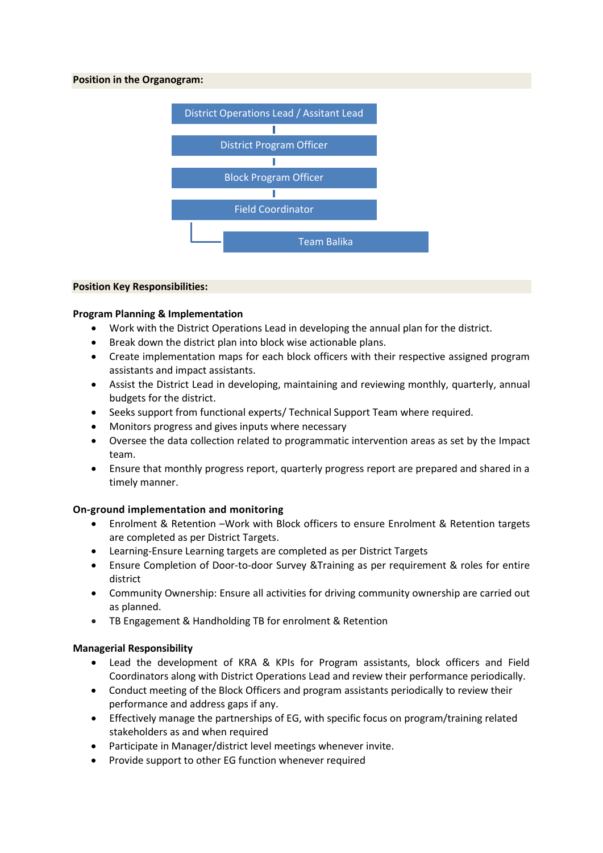## **Position in the Organogram:**



#### **Position Key Responsibilities:**

## **Program Planning & Implementation**

- Work with the District Operations Lead in developing the annual plan for the district.
- Break down the district plan into block wise actionable plans.
- Create implementation maps for each block officers with their respective assigned program assistants and impact assistants.
- Assist the District Lead in developing, maintaining and reviewing monthly, quarterly, annual budgets for the district.
- Seeks support from functional experts/ Technical Support Team where required.
- Monitors progress and gives inputs where necessary
- Oversee the data collection related to programmatic intervention areas as set by the Impact team.
- Ensure that monthly progress report, quarterly progress report are prepared and shared in a timely manner.

# **On-ground implementation and monitoring**

- Enrolment & Retention –Work with Block officers to ensure Enrolment & Retention targets are completed as per District Targets.
- Learning-Ensure Learning targets are completed as per District Targets
- Ensure Completion of Door-to-door Survey &Training as per requirement & roles for entire district
- Community Ownership: Ensure all activities for driving community ownership are carried out as planned.
- TB Engagement & Handholding TB for enrolment & Retention

## **Managerial Responsibility**

- Lead the development of KRA & KPIs for Program assistants, block officers and Field Coordinators along with District Operations Lead and review their performance periodically.
- Conduct meeting of the Block Officers and program assistants periodically to review their performance and address gaps if any.
- Effectively manage the partnerships of EG, with specific focus on program/training related stakeholders as and when required
- Participate in Manager/district level meetings whenever invite.
- Provide support to other EG function whenever required